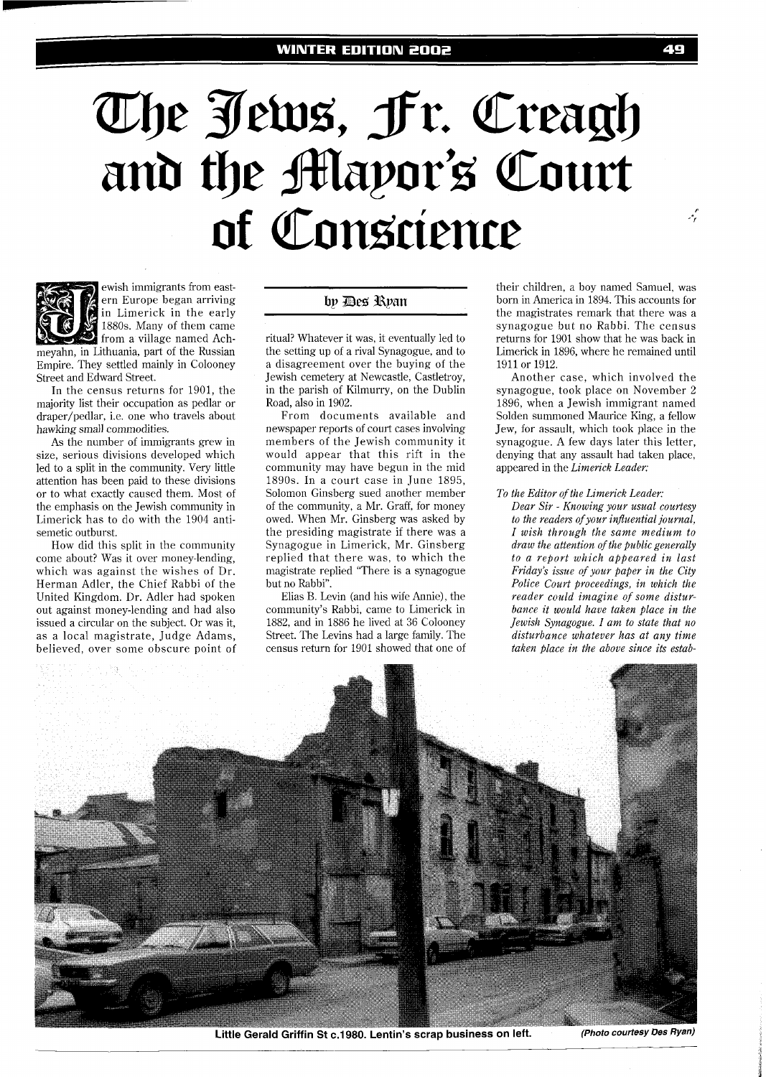## The Jews, Fr. Creagh and the Alapor's Court<br>of Conscience



ewish immigrants from eastern Europe began arriving in Limerick in the early 1880s. Many of them came from a village named Ach-

meyahn, in Lithuania, part of the Russian Empire. They settled mainly in Colooney Street and Edward Street.

In the census returns for 1901, the majority list their occupation as pedlar or draper/pedlar, i.e. one who travels about hawking small commodities.

As the number of immigrants grew in size, serious divisions developed which led to a split in the community. Very little attention has been paid to these divisions or to what exactly caused them. Most of the emphasis on the Jewish community in Limerick has to do with the 1904 antisemetic outburst.

How did this split in the community come about? Was it over money-lending, which was against the wishes of Dr. Herman Adler, the Chief Rabbi of the United Kingdom. Dr. Adler had spoken out against money-lending and had also issued a circular on the subject. Or was it, as a local magistrate, Judge Adams, believed, over some obscure point of

## bp Des Rpan

ritual? Whatever it was, it eventually led to the setting up of a rival Synagogue, and to a disagreement over the buying of the Jewish cemetery at Newcastle, Castletroy, in the parish of Kilmurry, on the Dublin Road, also in 1902.

From documents available and newspaper reports of court cases involving members of the Jewish community it would appear that this rift in the community may have begun in the mid 1890s. In a court case in June 1895, Solomon Ginsberg sued another member of the community, a Mr. Graff, for money owed. When Mr. Ginsberg was asked by the presiding magistrate if there was a Synagogue in Limerick, Mr. Ginsberg replied that there was, to which the magistrate replied "There is a synagogue but no Rabbi".

Elias B. Levin (and his wife Annie), the community's Rabbi, came to Limerick in 1882, and in 1886 he lived at 36 Colooney Street. The Levins had a large family. The census return for 1901 showed that one of

their children, a boy named Samuel, was born in America in 1894. This accounts for the magistrates remark that there was a synagogue but no Rabbi. The census returns for 1901 show that he was back in Limerick in 1896, where he remained until 1911 or 1912.

Another case, which involved the synagogue, took place on November 2 1896, when a Jewish immigrant named Solden summoned Maurice King, a fellow Jew, for assault, which took place in the synagogue. A few days later this letter, denying that any assault had taken place, appeared in the *Limerick Leader:* 

## *To the Editor of the Limerick Leader:*

*Dear Sir* - *Knowing your usual courtesy to the readers ofyour influential journal, I wish through the same medium to draw the attention of the public generally to a report which appeared in last Friday's issue of your paper in the City Police Court proceedings, in which the reader could imagine of some disturbance it would have taken place in the Jewish Synagogue. I am to state that no disturbance whatever has at any time taken Place in the above since its estab-* 



Little Gerald Griffin St c.1980. Lentin's scrap business on left.

(Photo courtesy Des Ryan)

تهمز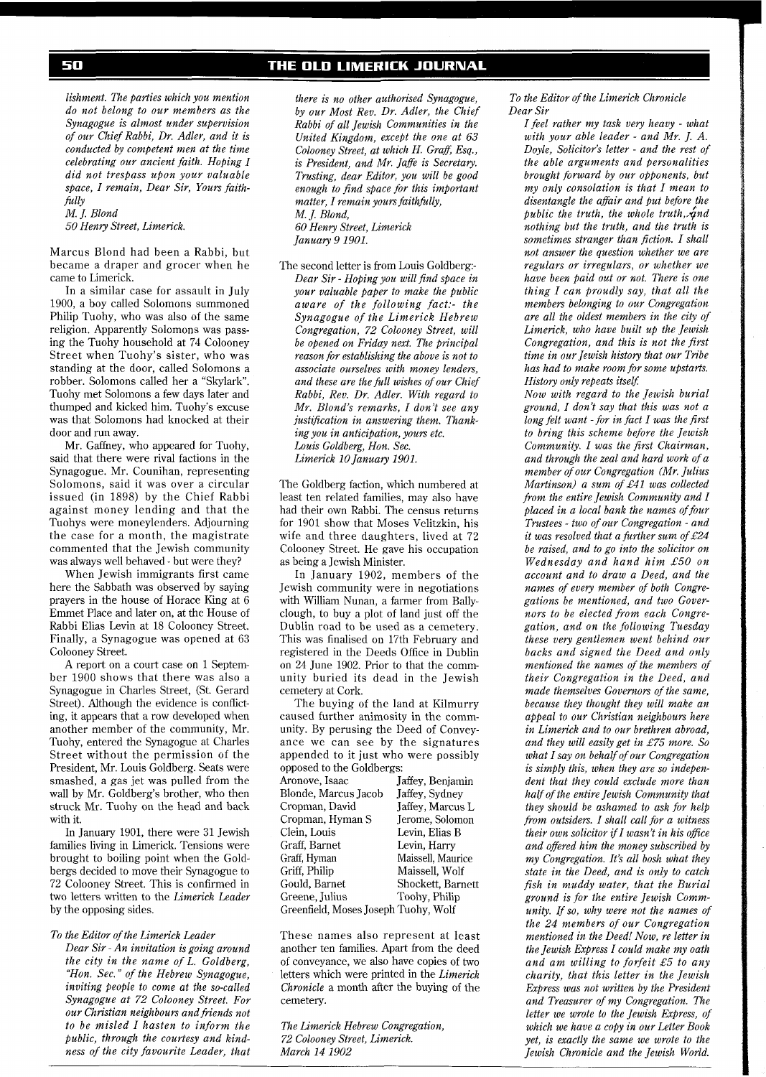*lishment. The parties which you mention do not belong to our members as the Synagogue is almost under supervision of our Chief Rabbi, Dr. Adler, and it is conducted by competent men at the time celebrating our ancient faith. Hoping I did not trespass upon your valuable space, I remain, Dear Sir, Yours faithfilly* 

*M. J. Blond 50 Henry Street, Limem'ck.* 

Marcus Blond had been a Rabbi, but became a draper and grocer when he came to Limerick.

In a similar case for assault in July 1900, a boy called Solomons summoned Philip Tuohy, who was also of the same religion. Apparently Solomons was passing the Tuohy household at 74 Colooney Street when Tuohy's sister, who was standing at the door, called Solomons a robber. Solomons called her a "Skylark. Tuohy met Solomons a few days later and thumped and kicked him. Tuohy's excuse was that Solomons had knocked at their door and run away.

Mr. Gaffney, who appeared for Tuohy, said that there were rival factions in the Synagogue. Mr. Counihan, representing Solomons, said it was over a circular issued (in 1898) by the Chief Rabbi against money lending and that the Tuohys were moneylenders. Adjourning the case for a month, the magistrate commented that the Jewish community was always well behaved - but were they?

When Jewish immigrants first came here the Sabbath was observed by saying prayers in the house of Horace King at 6 Emmet Place and later on, at the House of Rabbi Elias Levin at 18 Colooney Street. Finally, a Synagogue was opened at 63 Colooney Street.

A report on a court case on 1 September 1900 shows that there was also a Synagogue in Charles Street, (St. Gerard Street). Although the evidence is conflicting, it appears that a row developed when another member of the community, Mr. Tuohy, entered the Synagogue at Charles Street without the permission of the President, Mr. Louis Goldberg. Seats were smashed, a gas jet was pulled from the wall by Mr. Goldberg's brother, who then struck Mr. Tuohy on the head and back with it.

In January 1901, there were 31 Jewish families living in Limerick. Tensions were brought to boiling point when the Goldbergs decided to move their Synagogue to 72 Colooney Street. This is confirmed in two letters written to the *Limerick Leader*  by the opposing sides.

## **To the Editor of the Limerick Leader**

*Dear Sir* - *An invitation is going around the city in the name of L. Goldberg, "Hon. Sec." of the Hebrew Synagogue, inviting people to come at the so-called Synagogue at 72 Colooney Street. For our Christian neighbours and friends not to be misled I hasten to inform the public, through the courtesy and kindness of the city favourite Leader, that*  *there is no other authorised Synagogue, by our Most Rev. Dr. Adler, the Chief Rabbi of all Jewish Communities in the United Kingdom, except the one at 63 Colooney Street, at which H. Grafl Esq., is President, and Mr. Jaffe is Secretary. Trusting, dear Editor, you will be good enough to find space for this important matter, I remain yours faithfully, M. J. Blond, 60 Henry Street, Limerick Januay, 9 1901.* 

The second letter is from Louis Go1dberg:- *Dear Sir* - *Hoping you will find space in your valuable paper to make the public aware of the following fact:- the Synagogue of the Limerick Hebrew Congregation, 72 Colooney Street, will be opened on Friday next. The Drincifial reason for establishing the above is not to associate ourselves with money lenders, and these are the full wishes of our Chief Rabbi, Rev. Dr. Adler. With regard to Mr. Blond's remarks, I don't see any justfication in answering them. Thanking you in anticipation, yours etc. Louis Goldberg, Hon. Sec. Limem'ck l0 January 1901.* 

The Goldberg faction, which numbered at least ten related families, may also have had their own Rabbi. The census returns for 1901 show that Moses Velitzkin, his wife and three daughters, lived at 72 Colooney Street. He gave his occupation as being a Jewish Minister.

In January 1902, members of the Jewish community were in negotiations with William Nunan, a farmer from Ballyclough, to buy a plot of land just off the Dublin road to be used as a cemetery. This was finalised on 17th February and registered in the Deeds Office in Dublin on 24 June 1902. Prior to that the community buried its dead in the Jewish cemetery at Cork.

The buying of the land at Kilmurry caused further animosity in the community. By perusing the Deed of Conveyance we can see by the signatures appended to it just who were possibly opposed to the Goldbergs:

| Aronove, Isaac                       | Jaffey, Benjamin  |
|--------------------------------------|-------------------|
| Blonde, Marcus Jacob                 | Jaffey, Sydney    |
| Cropman, David                       | Jaffey, Marcus L  |
| Cropman, Hyman S                     | Jerome, Solomon   |
| Clein, Louis                         | Levin, Elias B    |
| Graff, Barnet                        | Levin, Harry      |
| Graff, Hyman                         | Maissell, Maurice |
| Griff, Philip                        | Maissell, Wolf    |
| Gould, Barnet                        | Shockett, Barnett |
| Greene, Julius                       | Toohy, Philip     |
| Greenfield, Moses Joseph Tuohy, Wolf |                   |

These names also represent at least another ten families. Apart from the deed of conveyance, we also have copies of two letters which were printed in the *Limerick Chronicle* a month after the buying of the cemetery.

*The Limem'ck Hebrew Congregation, 72 Colooney Street, Limerick. March 14 1902* 

*To the Editor ofthe Limerick Chronicle Dear Sir* 

*I feel rather my task very heavy* - *what with your able leader* - *and Mr. J. A.*   $Doyle, Solicitor's letter - and the rest of$ *the able arguments and personalities brought forward by our opponents, but my only consolation is that I mean to disentangle the affair and put before the* public the truth, the whole truth, and *nothing but the truth, and the truth is sometimes stranger than fiction. I shall not answer the question whether we are regulars or irregulars, or whether we have been paid out or not. There is one thing I can proudly say, that all the members belonging to our Congregation are all the oldest members in the city of Limerick, who have built up the Jewish Congregation, and this is not the first time in our Jewish histoy, that our Tribe has had to make room for some upstarts. History only repeats itself:* 

*Now with regard to the Jewish burial ground, I don't say that this was not a long felt want -for in fact I was the first to bring this scheme before the Jewish Community. I was the first Chairman, and through the zeal and hard work ofa member of our Congregation (Mr. Julius Martinson) a sum of£41 was collected from the entire Jewish Community and I placed in a local bank the names offour Trustees* - *two of our Congregation* - *and it was resolved that a further sum of £24 be raised, and to go into the solicitor on Wednesday and hand him £50 on account and to draw a Deed, and the names of every member of both Congregations be mentioned, and two Governors to be elected from each Congregation, and on the following Tuesday these very gentlemen went behind our backs and signed the Deed and only mentioned the names of the members of their Congregation in the Deed, and*   $made$  themselves Governors of the same, *because they thought they will make an appeal to our Christian neighbours here in Limem'ck and to our brethren abroad, and they will easily get in £75 more. So what I say on behalf of our Congregation is simply this, when they are so independent that they could exclude more than half ofthe entire Jewish Community that they should be ashamed to ask for help from outsiders. I shall call for a witness their own solicitor \$1 wasn't in his ofice and offered him the money subscm'bed by my Congregation. It's all bosh what they state in the Deed, and is only to catch fish in muddy water, that the Burial ground is for the entire Jewish Community.* If *so, why were not the names of the 24 members of our Congregation mentioned in the Deed! Now, re letter in the Jewish Express I could make my oath and am willing to forfeit £5 to any charity, that this letter in the Jewish Express was not written by the President and Treasurer of my Congregation. The letter we wrote to the Jewish Express, of which we have a copy in our Letter Book yet, is exactly the same we wrote to the Jewish Chronicle and the Jewish World.*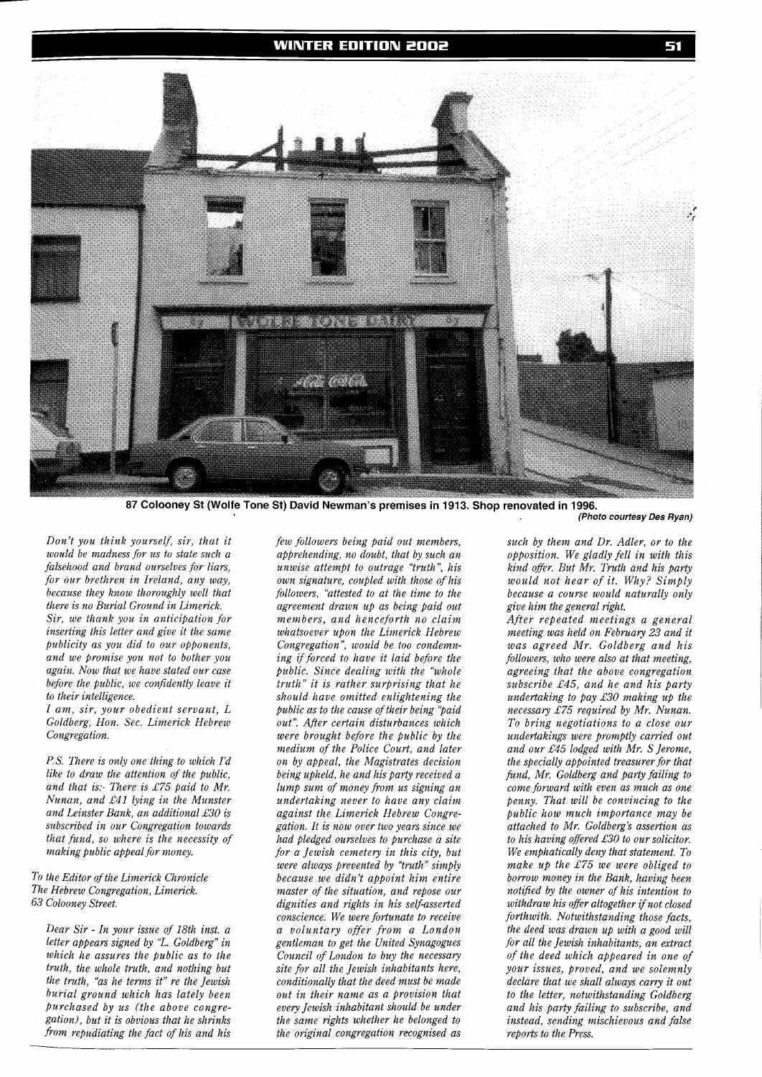**WINTER EDITION 2002** 



87 Colooney St (Wolfe Tone St) David Newman's premises in 1913. Shop renovated in 1996.

*Don't you think yourself, sir, that it would be madness for us to state such a falsehood and brand ourselves for liars, for our brethren in Ireland, any way, because they know thoroughly well that there is no Burial Ground in Limerick. Sir, we thank you in anticipation for inserting this letter and give it the same publicity as you did to our opponents, and we promise you not to bother you again. Now that we have stated our case before the public, we confidently leave it to their intelligence.* 

*I am, sir, your obedient servant, L Goldberg, Hon. Sec. Limerick Hebrew Congregation.* 

*P.S. There is only one thing to which I'd like to draw the attention of the public, and that is:- There is £75 paid to Mr. Nunan, and £41 lying in the Munster and Leinster Bank, an additional £30 is subscribed in our Congregation towards that fund, so where is the necessity of making public appeal for money.* 

*To the Editor of the Limerick Chronicle The Hebrew Congregation, Limerick. 63 Colooney Street.* 

*Dear Sir* - *In your issue of 18th inst. a letter appears signed by* "L. *Goldberg" in which he assures the public as to the truth, the whole truth, and nothing but the truth, "as he terms it" re the Jewish burial ground which has lately been purchased by us (the above congregation), but it is obvious that he shrinks from repudiating the fact of his and his* 

*few followers being paid out members, apprehending, no doubt, that by such an unwise attempt to outrage "truth", his own signature, coupled with those of his followers, "attested to at the time to the agreement drawn up as being paid out members, and henceforth no claim whatsoever upon the Limerick Hebrew Congregation", would be too condemning* **if** *forced to have it laid before the public. Since dealing with the "whole truth" it is rather surprising that he should have omitted enlightening the public as to the cause of their being "paid out". After certain disturbances which were brought before the public by the medium of the Police Court, and later on by appeal, the Magistrates decision being upheld, he and his party received a lump sum of money from us signing an undertaking never to have any claim against the Limerick Hebrew Congregation. It is now over two years since we had pledged ourselves to purchase a site for a Jewish cemetery in this city, but were always prevented by "truth" simply because we didn't appoint him entire master of the situation, and repose our dignities and rights in his self-asserted conscience. We were fortunate to receive a voluntary offer from a London gentleman to get the United Synagogues Council of London to buy the necessary site for all the Jewish inhabitants here, conditionally that the deed must be made out in their name as a provision that every Jewish inhabitant should be under the same rights whether he belonged to the original congregation recognised as*  **(Photo courtesy Des Ryan)** 

*such by them and Dr. Adler, or to the opposition. We gladly fell in with this kind offer. But Mr. Truth and his party would not hear of it. Why? Simply because a course would naturally only give him the general right.* 

*After repeated meetings a general meeting was held on February 23 and it was agreed Mr. Goldberg and his followers, who were also at that meeting, agreeing that the above congregation subscribe £45, and he and his party undertaking to pay £30 making up the necessary £75 required by Mr. Nunan. To bring negotiations to a close our undertakings were promptly carried out and our £45 lodged with Mr. S Jerome, the specially appointed treasurer for that fund, Mr. Goldberg and party failing to come forward with even as much as one penny. That will be convincing to the public how much importance may be attached to Mr. Goldberg's assertion as to his having offered £30 to our solicitor. We emphatically deny that statement. To make up the £75 we were obliged to borrow money in the Bank, having been notified by the owner of his intention to withdraw his ofer altogether* if *not closed forthwith. Notwithstanding those facts, the deed was drawn up with a good will for all the Jewish inhabitants, an extract of the deed which appeared in one of your issues, proved, and we solemnly declare that we shall always carry it out to the letter, notwithstanding Goldberg and his party failing to subscribe, and instead, sending mischievous and false reports to the Press.*